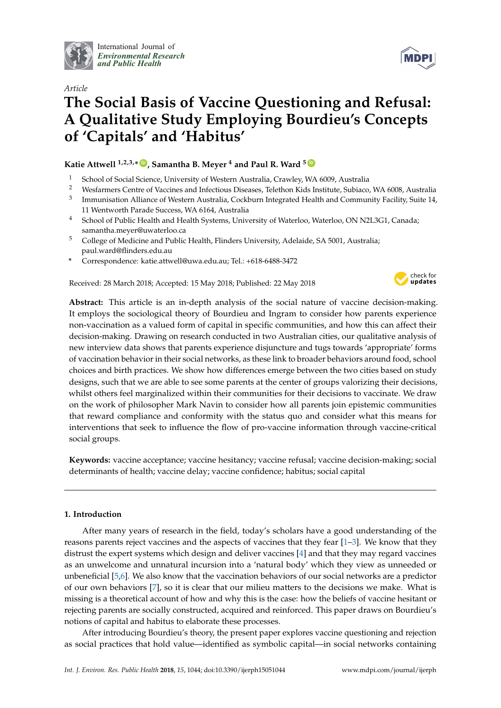

International Journal of *[Environmental Research](http://www.mdpi.com/journal/ijerph) and Public Health*

# **MDPI**

# *Article* **The Social Basis of Vaccine Questioning and Refusal: A Qualitative Study Employing Bourdieu's Concepts of 'Capitals' and 'Habitus'**

# **Katie Attwell 1,2,3,\* [ID](https://orcid.org/0000-0002-0366-2160) , Samantha B. Meyer <sup>4</sup> and Paul R. Ward <sup>5</sup> [ID](https://orcid.org/0000-0002-5559-9714)**

- <sup>1</sup> School of Social Science, University of Western Australia, Crawley, WA 6009, Australia<br><sup>2</sup> Westermary Centre of Vaccines and Infectious Diseases. Telethon Kids Institute, Subject
- <sup>2</sup> Wesfarmers Centre of Vaccines and Infectious Diseases, Telethon Kids Institute, Subiaco, WA 6008, Australia
- 3 Immunisation Alliance of Western Australia, Cockburn Integrated Health and Community Facility, Suite 14, 11 Wentworth Parade Success, WA 6164, Australia
- <sup>4</sup> School of Public Health and Health Systems, University of Waterloo, Waterloo, ON N2L3G1, Canada; samantha.meyer@uwaterloo.ca
- <sup>5</sup> College of Medicine and Public Health, Flinders University, Adelaide, SA 5001, Australia; paul.ward@flinders.edu.au
- **\*** Correspondence: katie.attwell@uwa.edu.au; Tel.: +618-6488-3472

Received: 28 March 2018; Accepted: 15 May 2018; Published: 22 May 2018



**Abstract:** This article is an in-depth analysis of the social nature of vaccine decision-making. It employs the sociological theory of Bourdieu and Ingram to consider how parents experience non-vaccination as a valued form of capital in specific communities, and how this can affect their decision-making. Drawing on research conducted in two Australian cities, our qualitative analysis of new interview data shows that parents experience disjuncture and tugs towards 'appropriate' forms of vaccination behavior in their social networks, as these link to broader behaviors around food, school choices and birth practices. We show how differences emerge between the two cities based on study designs, such that we are able to see some parents at the center of groups valorizing their decisions, whilst others feel marginalized within their communities for their decisions to vaccinate. We draw on the work of philosopher Mark Navin to consider how all parents join epistemic communities that reward compliance and conformity with the status quo and consider what this means for interventions that seek to influence the flow of pro-vaccine information through vaccine-critical social groups.

**Keywords:** vaccine acceptance; vaccine hesitancy; vaccine refusal; vaccine decision-making; social determinants of health; vaccine delay; vaccine confidence; habitus; social capital

# **1. Introduction**

After many years of research in the field, today's scholars have a good understanding of the reasons parents reject vaccines and the aspects of vaccines that they fear [\[1](#page-14-0)[–3\]](#page-14-1). We know that they distrust the expert systems which design and deliver vaccines [\[4\]](#page-14-2) and that they may regard vaccines as an unwelcome and unnatural incursion into a 'natural body' which they view as unneeded or unbeneficial [\[5](#page-14-3)[,6\]](#page-14-4). We also know that the vaccination behaviors of our social networks are a predictor of our own behaviors [\[7\]](#page-14-5), so it is clear that our milieu matters to the decisions we make. What is missing is a theoretical account of how and why this is the case: how the beliefs of vaccine hesitant or rejecting parents are socially constructed, acquired and reinforced. This paper draws on Bourdieu's notions of capital and habitus to elaborate these processes.

After introducing Bourdieu's theory, the present paper explores vaccine questioning and rejection as social practices that hold value—identified as symbolic capital—in social networks containing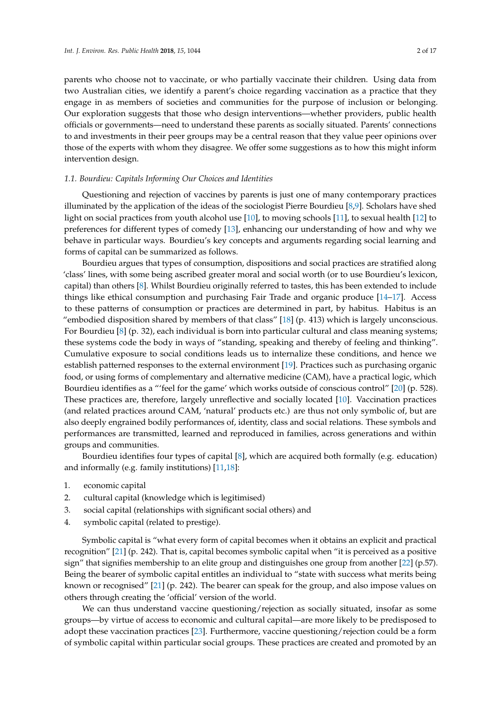parents who choose not to vaccinate, or who partially vaccinate their children. Using data from two Australian cities, we identify a parent's choice regarding vaccination as a practice that they engage in as members of societies and communities for the purpose of inclusion or belonging. Our exploration suggests that those who design interventions—whether providers, public health officials or governments—need to understand these parents as socially situated. Parents' connections to and investments in their peer groups may be a central reason that they value peer opinions over those of the experts with whom they disagree. We offer some suggestions as to how this might inform intervention design.

### *1.1. Bourdieu: Capitals Informing Our Choices and Identities*

Questioning and rejection of vaccines by parents is just one of many contemporary practices illuminated by the application of the ideas of the sociologist Pierre Bourdieu [\[8](#page-14-6)[,9\]](#page-14-7). Scholars have shed light on social practices from youth alcohol use [\[10\]](#page-15-0), to moving schools [\[11\]](#page-15-1), to sexual health [\[12\]](#page-15-2) to preferences for different types of comedy [\[13\]](#page-15-3), enhancing our understanding of how and why we behave in particular ways. Bourdieu's key concepts and arguments regarding social learning and forms of capital can be summarized as follows.

Bourdieu argues that types of consumption, dispositions and social practices are stratified along 'class' lines, with some being ascribed greater moral and social worth (or to use Bourdieu's lexicon, capital) than others [\[8\]](#page-14-6). Whilst Bourdieu originally referred to tastes, this has been extended to include things like ethical consumption and purchasing Fair Trade and organic produce [\[14](#page-15-4)[–17\]](#page-15-5). Access to these patterns of consumption or practices are determined in part, by habitus. Habitus is an "embodied disposition shared by members of that class" [\[18\]](#page-15-6) (p. 413) which is largely unconscious. For Bourdieu [\[8\]](#page-14-6) (p. 32), each individual is born into particular cultural and class meaning systems; these systems code the body in ways of "standing, speaking and thereby of feeling and thinking". Cumulative exposure to social conditions leads us to internalize these conditions, and hence we establish patterned responses to the external environment [\[19\]](#page-15-7). Practices such as purchasing organic food, or using forms of complementary and alternative medicine (CAM), have a practical logic, which Bourdieu identifies as a "'feel for the game' which works outside of conscious control" [\[20\]](#page-15-8) (p. 528). These practices are, therefore, largely unreflective and socially located [\[10\]](#page-15-0). Vaccination practices (and related practices around CAM, 'natural' products etc.) are thus not only symbolic of, but are also deeply engrained bodily performances of, identity, class and social relations. These symbols and performances are transmitted, learned and reproduced in families, across generations and within groups and communities.

Bourdieu identifies four types of capital [\[8\]](#page-14-6), which are acquired both formally (e.g. education) and informally (e.g. family institutions) [\[11,](#page-15-1)[18\]](#page-15-6):

- 1. economic capital
- 2. cultural capital (knowledge which is legitimised)
- 3. social capital (relationships with significant social others) and
- 4. symbolic capital (related to prestige).

Symbolic capital is "what every form of capital becomes when it obtains an explicit and practical recognition" [\[21\]](#page-15-9) (p. 242). That is, capital becomes symbolic capital when "it is perceived as a positive sign" that signifies membership to an elite group and distinguishes one group from another [\[22\]](#page-15-10) (p.57). Being the bearer of symbolic capital entitles an individual to "state with success what merits being known or recognised" [\[21\]](#page-15-9) (p. 242). The bearer can speak for the group, and also impose values on others through creating the 'official' version of the world.

We can thus understand vaccine questioning/rejection as socially situated, insofar as some groups—by virtue of access to economic and cultural capital—are more likely to be predisposed to adopt these vaccination practices [\[23\]](#page-15-11). Furthermore, vaccine questioning/rejection could be a form of symbolic capital within particular social groups. These practices are created and promoted by an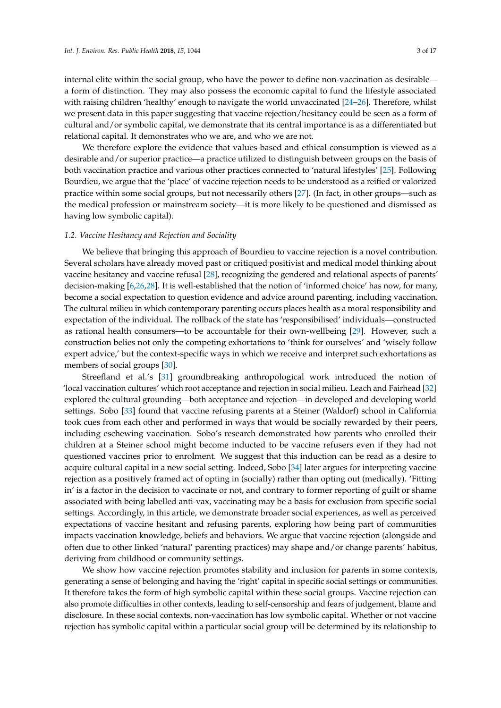internal elite within the social group, who have the power to define non-vaccination as desirable a form of distinction. They may also possess the economic capital to fund the lifestyle associated with raising children 'healthy' enough to navigate the world unvaccinated [\[24–](#page-15-12)[26\]](#page-15-13). Therefore, whilst we present data in this paper suggesting that vaccine rejection/hesitancy could be seen as a form of cultural and/or symbolic capital, we demonstrate that its central importance is as a differentiated but relational capital. It demonstrates who we are, and who we are not.

We therefore explore the evidence that values-based and ethical consumption is viewed as a desirable and/or superior practice—a practice utilized to distinguish between groups on the basis of both vaccination practice and various other practices connected to 'natural lifestyles' [\[25\]](#page-15-14). Following Bourdieu, we argue that the 'place' of vaccine rejection needs to be understood as a reified or valorized practice within some social groups, but not necessarily others [\[27\]](#page-15-15). (In fact, in other groups—such as the medical profession or mainstream society—it is more likely to be questioned and dismissed as having low symbolic capital).

#### *1.2. Vaccine Hesitancy and Rejection and Sociality*

We believe that bringing this approach of Bourdieu to vaccine rejection is a novel contribution. Several scholars have already moved past or critiqued positivist and medical model thinking about vaccine hesitancy and vaccine refusal [\[28\]](#page-15-16), recognizing the gendered and relational aspects of parents' decision-making [\[6,](#page-14-4)[26,](#page-15-13)[28\]](#page-15-16). It is well-established that the notion of 'informed choice' has now, for many, become a social expectation to question evidence and advice around parenting, including vaccination. The cultural milieu in which contemporary parenting occurs places health as a moral responsibility and expectation of the individual. The rollback of the state has 'responsibilised' individuals—constructed as rational health consumers—to be accountable for their own-wellbeing [\[29\]](#page-15-17). However, such a construction belies not only the competing exhortations to 'think for ourselves' and 'wisely follow expert advice,' but the context-specific ways in which we receive and interpret such exhortations as members of social groups [\[30\]](#page-15-18).

Streefland et al.'s [\[31\]](#page-15-19) groundbreaking anthropological work introduced the notion of 'local vaccination cultures' which root acceptance and rejection in social milieu. Leach and Fairhead [\[32\]](#page-15-20) explored the cultural grounding—both acceptance and rejection—in developed and developing world settings. Sobo [\[33\]](#page-15-21) found that vaccine refusing parents at a Steiner (Waldorf) school in California took cues from each other and performed in ways that would be socially rewarded by their peers, including eschewing vaccination. Sobo's research demonstrated how parents who enrolled their children at a Steiner school might become inducted to be vaccine refusers even if they had not questioned vaccines prior to enrolment. We suggest that this induction can be read as a desire to acquire cultural capital in a new social setting. Indeed, Sobo [\[34\]](#page-15-22) later argues for interpreting vaccine rejection as a positively framed act of opting in (socially) rather than opting out (medically). 'Fitting in' is a factor in the decision to vaccinate or not, and contrary to former reporting of guilt or shame associated with being labelled anti-vax, vaccinating may be a basis for exclusion from specific social settings. Accordingly, in this article, we demonstrate broader social experiences, as well as perceived expectations of vaccine hesitant and refusing parents, exploring how being part of communities impacts vaccination knowledge, beliefs and behaviors. We argue that vaccine rejection (alongside and often due to other linked 'natural' parenting practices) may shape and/or change parents' habitus, deriving from childhood or community settings.

We show how vaccine rejection promotes stability and inclusion for parents in some contexts, generating a sense of belonging and having the 'right' capital in specific social settings or communities. It therefore takes the form of high symbolic capital within these social groups. Vaccine rejection can also promote difficulties in other contexts, leading to self-censorship and fears of judgement, blame and disclosure. In these social contexts, non-vaccination has low symbolic capital. Whether or not vaccine rejection has symbolic capital within a particular social group will be determined by its relationship to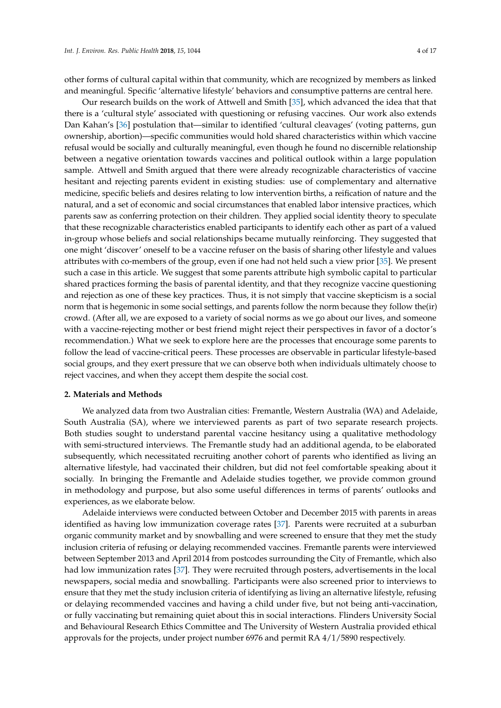other forms of cultural capital within that community, which are recognized by members as linked and meaningful. Specific 'alternative lifestyle' behaviors and consumptive patterns are central here.

Our research builds on the work of Attwell and Smith [\[35\]](#page-15-23), which advanced the idea that that there is a 'cultural style' associated with questioning or refusing vaccines. Our work also extends Dan Kahan's [\[36\]](#page-15-24) postulation that—similar to identified 'cultural cleavages' (voting patterns, gun ownership, abortion)—specific communities would hold shared characteristics within which vaccine refusal would be socially and culturally meaningful, even though he found no discernible relationship between a negative orientation towards vaccines and political outlook within a large population sample. Attwell and Smith argued that there were already recognizable characteristics of vaccine hesitant and rejecting parents evident in existing studies: use of complementary and alternative medicine, specific beliefs and desires relating to low intervention births, a reification of nature and the natural, and a set of economic and social circumstances that enabled labor intensive practices, which parents saw as conferring protection on their children. They applied social identity theory to speculate that these recognizable characteristics enabled participants to identify each other as part of a valued in-group whose beliefs and social relationships became mutually reinforcing. They suggested that one might 'discover' oneself to be a vaccine refuser on the basis of sharing other lifestyle and values attributes with co-members of the group, even if one had not held such a view prior [\[35\]](#page-15-23). We present such a case in this article. We suggest that some parents attribute high symbolic capital to particular shared practices forming the basis of parental identity, and that they recognize vaccine questioning and rejection as one of these key practices. Thus, it is not simply that vaccine skepticism is a social norm that is hegemonic in some social settings, and parents follow the norm because they follow the(ir) crowd. (After all, we are exposed to a variety of social norms as we go about our lives, and someone with a vaccine-rejecting mother or best friend might reject their perspectives in favor of a doctor's recommendation.) What we seek to explore here are the processes that encourage some parents to follow the lead of vaccine-critical peers. These processes are observable in particular lifestyle-based social groups, and they exert pressure that we can observe both when individuals ultimately choose to reject vaccines, and when they accept them despite the social cost.

#### **2. Materials and Methods**

We analyzed data from two Australian cities: Fremantle, Western Australia (WA) and Adelaide, South Australia (SA), where we interviewed parents as part of two separate research projects. Both studies sought to understand parental vaccine hesitancy using a qualitative methodology with semi-structured interviews. The Fremantle study had an additional agenda, to be elaborated subsequently, which necessitated recruiting another cohort of parents who identified as living an alternative lifestyle, had vaccinated their children, but did not feel comfortable speaking about it socially. In bringing the Fremantle and Adelaide studies together, we provide common ground in methodology and purpose, but also some useful differences in terms of parents' outlooks and experiences, as we elaborate below.

Adelaide interviews were conducted between October and December 2015 with parents in areas identified as having low immunization coverage rates [\[37\]](#page-16-0). Parents were recruited at a suburban organic community market and by snowballing and were screened to ensure that they met the study inclusion criteria of refusing or delaying recommended vaccines. Fremantle parents were interviewed between September 2013 and April 2014 from postcodes surrounding the City of Fremantle, which also had low immunization rates [\[37\]](#page-16-0). They were recruited through posters, advertisements in the local newspapers, social media and snowballing. Participants were also screened prior to interviews to ensure that they met the study inclusion criteria of identifying as living an alternative lifestyle, refusing or delaying recommended vaccines and having a child under five, but not being anti-vaccination, or fully vaccinating but remaining quiet about this in social interactions. Flinders University Social and Behavioural Research Ethics Committee and The University of Western Australia provided ethical approvals for the projects, under project number 6976 and permit RA 4/1/5890 respectively.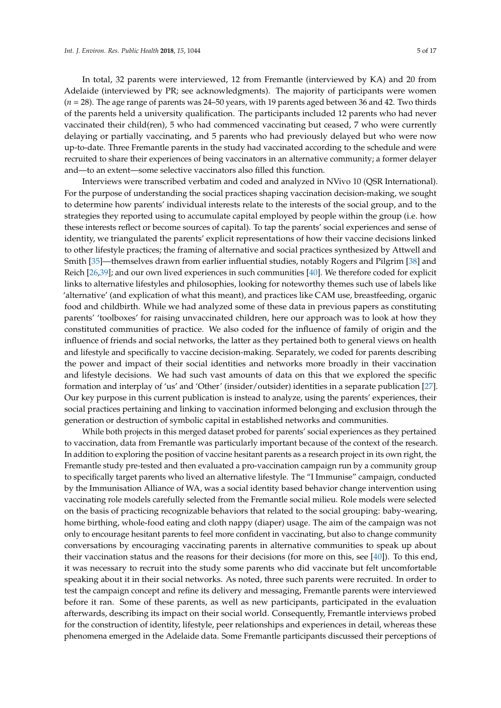In total, 32 parents were interviewed, 12 from Fremantle (interviewed by KA) and 20 from Adelaide (interviewed by PR; see acknowledgments). The majority of participants were women (*n* = 28). The age range of parents was 24–50 years, with 19 parents aged between 36 and 42. Two thirds of the parents held a university qualification. The participants included 12 parents who had never vaccinated their child(ren), 5 who had commenced vaccinating but ceased, 7 who were currently delaying or partially vaccinating, and 5 parents who had previously delayed but who were now up-to-date. Three Fremantle parents in the study had vaccinated according to the schedule and were recruited to share their experiences of being vaccinators in an alternative community; a former delayer and—to an extent—some selective vaccinators also filled this function.

Interviews were transcribed verbatim and coded and analyzed in NVivo 10 (QSR International). For the purpose of understanding the social practices shaping vaccination decision-making, we sought to determine how parents' individual interests relate to the interests of the social group, and to the strategies they reported using to accumulate capital employed by people within the group (i.e. how these interests reflect or become sources of capital). To tap the parents' social experiences and sense of identity, we triangulated the parents' explicit representations of how their vaccine decisions linked to other lifestyle practices; the framing of alternative and social practices synthesized by Attwell and Smith [\[35\]](#page-15-23)—themselves drawn from earlier influential studies, notably Rogers and Pilgrim [\[38\]](#page-16-1) and Reich [\[26,](#page-15-13)[39\]](#page-16-2); and our own lived experiences in such communities [\[40\]](#page-16-3). We therefore coded for explicit links to alternative lifestyles and philosophies, looking for noteworthy themes such use of labels like 'alternative' (and explication of what this meant), and practices like CAM use, breastfeeding, organic food and childbirth. While we had analyzed some of these data in previous papers as constituting parents' 'toolboxes' for raising unvaccinated children, here our approach was to look at how they constituted communities of practice. We also coded for the influence of family of origin and the influence of friends and social networks, the latter as they pertained both to general views on health and lifestyle and specifically to vaccine decision-making. Separately, we coded for parents describing the power and impact of their social identities and networks more broadly in their vaccination and lifestyle decisions. We had such vast amounts of data on this that we explored the specific formation and interplay of 'us' and 'Other' (insider/outsider) identities in a separate publication [\[27\]](#page-15-15). Our key purpose in this current publication is instead to analyze, using the parents' experiences, their social practices pertaining and linking to vaccination informed belonging and exclusion through the generation or destruction of symbolic capital in established networks and communities.

While both projects in this merged dataset probed for parents' social experiences as they pertained to vaccination, data from Fremantle was particularly important because of the context of the research. In addition to exploring the position of vaccine hesitant parents as a research project in its own right, the Fremantle study pre-tested and then evaluated a pro-vaccination campaign run by a community group to specifically target parents who lived an alternative lifestyle. The "I Immunise" campaign, conducted by the Immunisation Alliance of WA, was a social identity based behavior change intervention using vaccinating role models carefully selected from the Fremantle social milieu. Role models were selected on the basis of practicing recognizable behaviors that related to the social grouping: baby-wearing, home birthing, whole-food eating and cloth nappy (diaper) usage. The aim of the campaign was not only to encourage hesitant parents to feel more confident in vaccinating, but also to change community conversations by encouraging vaccinating parents in alternative communities to speak up about their vaccination status and the reasons for their decisions (for more on this, see [\[40\]](#page-16-3)). To this end, it was necessary to recruit into the study some parents who did vaccinate but felt uncomfortable speaking about it in their social networks. As noted, three such parents were recruited. In order to test the campaign concept and refine its delivery and messaging, Fremantle parents were interviewed before it ran. Some of these parents, as well as new participants, participated in the evaluation afterwards, describing its impact on their social world. Consequently, Fremantle interviews probed for the construction of identity, lifestyle, peer relationships and experiences in detail, whereas these phenomena emerged in the Adelaide data. Some Fremantle participants discussed their perceptions of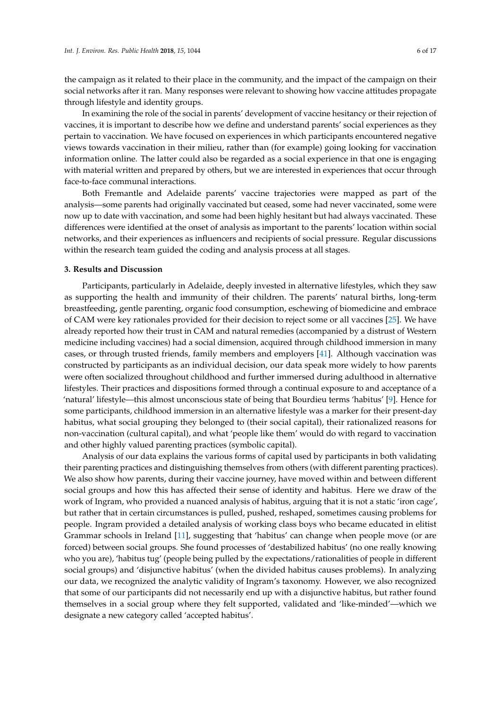the campaign as it related to their place in the community, and the impact of the campaign on their social networks after it ran. Many responses were relevant to showing how vaccine attitudes propagate through lifestyle and identity groups.

In examining the role of the social in parents' development of vaccine hesitancy or their rejection of vaccines, it is important to describe how we define and understand parents' social experiences as they pertain to vaccination. We have focused on experiences in which participants encountered negative views towards vaccination in their milieu, rather than (for example) going looking for vaccination information online. The latter could also be regarded as a social experience in that one is engaging with material written and prepared by others, but we are interested in experiences that occur through face-to-face communal interactions.

Both Fremantle and Adelaide parents' vaccine trajectories were mapped as part of the analysis—some parents had originally vaccinated but ceased, some had never vaccinated, some were now up to date with vaccination, and some had been highly hesitant but had always vaccinated. These differences were identified at the onset of analysis as important to the parents' location within social networks, and their experiences as influencers and recipients of social pressure. Regular discussions within the research team guided the coding and analysis process at all stages.

#### **3. Results and Discussion**

Participants, particularly in Adelaide, deeply invested in alternative lifestyles, which they saw as supporting the health and immunity of their children. The parents' natural births, long-term breastfeeding, gentle parenting, organic food consumption, eschewing of biomedicine and embrace of CAM were key rationales provided for their decision to reject some or all vaccines [\[25\]](#page-15-14). We have already reported how their trust in CAM and natural remedies (accompanied by a distrust of Western medicine including vaccines) had a social dimension, acquired through childhood immersion in many cases, or through trusted friends, family members and employers [\[41\]](#page-16-4). Although vaccination was constructed by participants as an individual decision, our data speak more widely to how parents were often socialized throughout childhood and further immersed during adulthood in alternative lifestyles. Their practices and dispositions formed through a continual exposure to and acceptance of a 'natural' lifestyle—this almost unconscious state of being that Bourdieu terms 'habitus' [\[9\]](#page-14-7). Hence for some participants, childhood immersion in an alternative lifestyle was a marker for their present-day habitus, what social grouping they belonged to (their social capital), their rationalized reasons for non-vaccination (cultural capital), and what 'people like them' would do with regard to vaccination and other highly valued parenting practices (symbolic capital).

Analysis of our data explains the various forms of capital used by participants in both validating their parenting practices and distinguishing themselves from others (with different parenting practices). We also show how parents, during their vaccine journey, have moved within and between different social groups and how this has affected their sense of identity and habitus. Here we draw of the work of Ingram, who provided a nuanced analysis of habitus, arguing that it is not a static 'iron cage', but rather that in certain circumstances is pulled, pushed, reshaped, sometimes causing problems for people. Ingram provided a detailed analysis of working class boys who became educated in elitist Grammar schools in Ireland [\[11\]](#page-15-1), suggesting that 'habitus' can change when people move (or are forced) between social groups. She found processes of 'destabilized habitus' (no one really knowing who you are), 'habitus tug' (people being pulled by the expectations/rationalities of people in different social groups) and 'disjunctive habitus' (when the divided habitus causes problems). In analyzing our data, we recognized the analytic validity of Ingram's taxonomy. However, we also recognized that some of our participants did not necessarily end up with a disjunctive habitus, but rather found themselves in a social group where they felt supported, validated and 'like-minded'—which we designate a new category called 'accepted habitus'.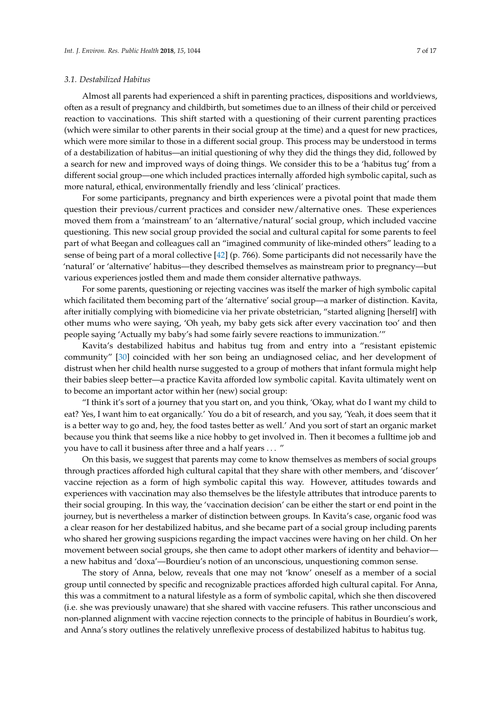#### *3.1. Destabilized Habitus*

Almost all parents had experienced a shift in parenting practices, dispositions and worldviews, often as a result of pregnancy and childbirth, but sometimes due to an illness of their child or perceived reaction to vaccinations. This shift started with a questioning of their current parenting practices (which were similar to other parents in their social group at the time) and a quest for new practices, which were more similar to those in a different social group. This process may be understood in terms of a destabilization of habitus—an initial questioning of why they did the things they did, followed by a search for new and improved ways of doing things. We consider this to be a 'habitus tug' from a different social group—one which included practices internally afforded high symbolic capital, such as more natural, ethical, environmentally friendly and less 'clinical' practices.

For some participants, pregnancy and birth experiences were a pivotal point that made them question their previous/current practices and consider new/alternative ones. These experiences moved them from a 'mainstream' to an 'alternative/natural' social group, which included vaccine questioning. This new social group provided the social and cultural capital for some parents to feel part of what Beegan and colleagues call an "imagined community of like-minded others" leading to a sense of being part of a moral collective [\[42\]](#page-16-5) (p. 766). Some participants did not necessarily have the 'natural' or 'alternative' habitus—they described themselves as mainstream prior to pregnancy—but various experiences jostled them and made them consider alternative pathways.

For some parents, questioning or rejecting vaccines was itself the marker of high symbolic capital which facilitated them becoming part of the 'alternative' social group—a marker of distinction. Kavita, after initially complying with biomedicine via her private obstetrician, "started aligning [herself] with other mums who were saying, 'Oh yeah, my baby gets sick after every vaccination too' and then people saying 'Actually my baby's had some fairly severe reactions to immunization.'"

Kavita's destabilized habitus and habitus tug from and entry into a "resistant epistemic community" [\[30\]](#page-15-18) coincided with her son being an undiagnosed celiac, and her development of distrust when her child health nurse suggested to a group of mothers that infant formula might help their babies sleep better—a practice Kavita afforded low symbolic capital. Kavita ultimately went on to become an important actor within her (new) social group:

"I think it's sort of a journey that you start on, and you think, 'Okay, what do I want my child to eat? Yes, I want him to eat organically.' You do a bit of research, and you say, 'Yeah, it does seem that it is a better way to go and, hey, the food tastes better as well.' And you sort of start an organic market because you think that seems like a nice hobby to get involved in. Then it becomes a fulltime job and you have to call it business after three and a half years . . . "

On this basis, we suggest that parents may come to know themselves as members of social groups through practices afforded high cultural capital that they share with other members, and 'discover' vaccine rejection as a form of high symbolic capital this way. However, attitudes towards and experiences with vaccination may also themselves be the lifestyle attributes that introduce parents to their social grouping. In this way, the 'vaccination decision' can be either the start or end point in the journey, but is nevertheless a marker of distinction between groups. In Kavita's case, organic food was a clear reason for her destabilized habitus, and she became part of a social group including parents who shared her growing suspicions regarding the impact vaccines were having on her child. On her movement between social groups, she then came to adopt other markers of identity and behavior a new habitus and 'doxa'—Bourdieu's notion of an unconscious, unquestioning common sense.

The story of Anna, below, reveals that one may not 'know' oneself as a member of a social group until connected by specific and recognizable practices afforded high cultural capital. For Anna, this was a commitment to a natural lifestyle as a form of symbolic capital, which she then discovered (i.e. she was previously unaware) that she shared with vaccine refusers. This rather unconscious and non-planned alignment with vaccine rejection connects to the principle of habitus in Bourdieu's work, and Anna's story outlines the relatively unreflexive process of destabilized habitus to habitus tug.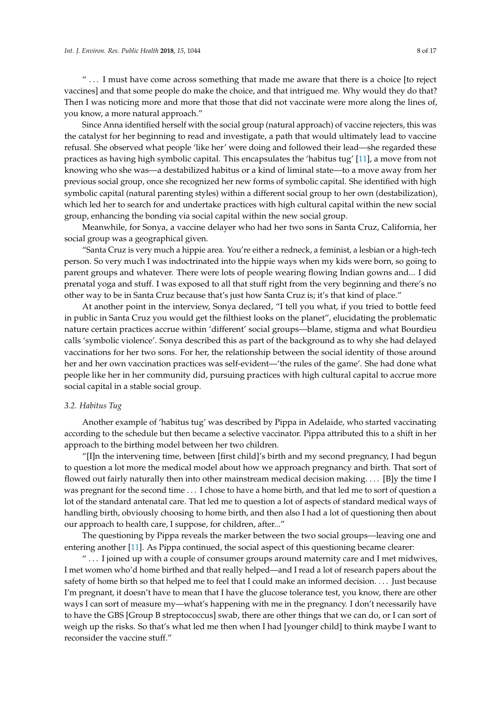" . . . I must have come across something that made me aware that there is a choice [to reject vaccines] and that some people do make the choice, and that intrigued me. Why would they do that? Then I was noticing more and more that those that did not vaccinate were more along the lines of, you know, a more natural approach."

Since Anna identified herself with the social group (natural approach) of vaccine rejecters, this was the catalyst for her beginning to read and investigate, a path that would ultimately lead to vaccine refusal. She observed what people 'like her' were doing and followed their lead—she regarded these practices as having high symbolic capital. This encapsulates the 'habitus tug' [\[11\]](#page-15-1), a move from not knowing who she was—a destabilized habitus or a kind of liminal state—to a move away from her previous social group, once she recognized her new forms of symbolic capital. She identified with high symbolic capital (natural parenting styles) within a different social group to her own (destabilization), which led her to search for and undertake practices with high cultural capital within the new social group, enhancing the bonding via social capital within the new social group.

Meanwhile, for Sonya, a vaccine delayer who had her two sons in Santa Cruz, California, her social group was a geographical given.

"Santa Cruz is very much a hippie area. You're either a redneck, a feminist, a lesbian or a high-tech person. So very much I was indoctrinated into the hippie ways when my kids were born, so going to parent groups and whatever. There were lots of people wearing flowing Indian gowns and... I did prenatal yoga and stuff. I was exposed to all that stuff right from the very beginning and there's no other way to be in Santa Cruz because that's just how Santa Cruz is; it's that kind of place."

At another point in the interview, Sonya declared, "I tell you what, if you tried to bottle feed in public in Santa Cruz you would get the filthiest looks on the planet", elucidating the problematic nature certain practices accrue within 'different' social groups—blame, stigma and what Bourdieu calls 'symbolic violence'. Sonya described this as part of the background as to why she had delayed vaccinations for her two sons. For her, the relationship between the social identity of those around her and her own vaccination practices was self-evident—'the rules of the game'. She had done what people like her in her community did, pursuing practices with high cultural capital to accrue more social capital in a stable social group.

#### *3.2. Habitus Tug*

Another example of 'habitus tug' was described by Pippa in Adelaide, who started vaccinating according to the schedule but then became a selective vaccinator. Pippa attributed this to a shift in her approach to the birthing model between her two children.

"[I]n the intervening time, between [first child]'s birth and my second pregnancy, I had begun to question a lot more the medical model about how we approach pregnancy and birth. That sort of flowed out fairly naturally then into other mainstream medical decision making. . . . [B]y the time I was pregnant for the second time . . . I chose to have a home birth, and that led me to sort of question a lot of the standard antenatal care. That led me to question a lot of aspects of standard medical ways of handling birth, obviously choosing to home birth, and then also I had a lot of questioning then about our approach to health care, I suppose, for children, after..."

The questioning by Pippa reveals the marker between the two social groups—leaving one and entering another [\[11\]](#page-15-1). As Pippa continued, the social aspect of this questioning became clearer:

 $\ldots$  I joined up with a couple of consumer groups around maternity care and I met midwives, I met women who'd home birthed and that really helped—and I read a lot of research papers about the safety of home birth so that helped me to feel that I could make an informed decision. . . . Just because I'm pregnant, it doesn't have to mean that I have the glucose tolerance test, you know, there are other ways I can sort of measure my—what's happening with me in the pregnancy. I don't necessarily have to have the GBS [Group B streptococcus] swab, there are other things that we can do, or I can sort of weigh up the risks. So that's what led me then when I had [younger child] to think maybe I want to reconsider the vaccine stuff."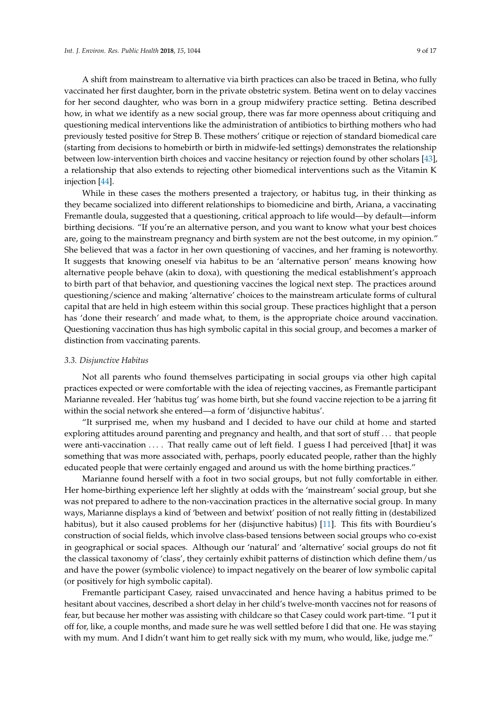A shift from mainstream to alternative via birth practices can also be traced in Betina, who fully vaccinated her first daughter, born in the private obstetric system. Betina went on to delay vaccines for her second daughter, who was born in a group midwifery practice setting. Betina described how, in what we identify as a new social group, there was far more openness about critiquing and questioning medical interventions like the administration of antibiotics to birthing mothers who had previously tested positive for Strep B. These mothers' critique or rejection of standard biomedical care (starting from decisions to homebirth or birth in midwife-led settings) demonstrates the relationship between low-intervention birth choices and vaccine hesitancy or rejection found by other scholars [\[43\]](#page-16-6), a relationship that also extends to rejecting other biomedical interventions such as the Vitamin K injection [\[44\]](#page-16-7).

While in these cases the mothers presented a trajectory, or habitus tug, in their thinking as they became socialized into different relationships to biomedicine and birth, Ariana, a vaccinating Fremantle doula, suggested that a questioning, critical approach to life would—by default—inform birthing decisions. "If you're an alternative person, and you want to know what your best choices are, going to the mainstream pregnancy and birth system are not the best outcome, in my opinion." She believed that was a factor in her own questioning of vaccines, and her framing is noteworthy. It suggests that knowing oneself via habitus to be an 'alternative person' means knowing how alternative people behave (akin to doxa), with questioning the medical establishment's approach to birth part of that behavior, and questioning vaccines the logical next step. The practices around questioning/science and making 'alternative' choices to the mainstream articulate forms of cultural capital that are held in high esteem within this social group. These practices highlight that a person has 'done their research' and made what, to them, is the appropriate choice around vaccination. Questioning vaccination thus has high symbolic capital in this social group, and becomes a marker of distinction from vaccinating parents.

#### *3.3. Disjunctive Habitus*

Not all parents who found themselves participating in social groups via other high capital practices expected or were comfortable with the idea of rejecting vaccines, as Fremantle participant Marianne revealed. Her 'habitus tug' was home birth, but she found vaccine rejection to be a jarring fit within the social network she entered—a form of 'disjunctive habitus'.

"It surprised me, when my husband and I decided to have our child at home and started exploring attitudes around parenting and pregnancy and health, and that sort of stuff . . . that people were anti-vaccination .... That really came out of left field. I guess I had perceived [that] it was something that was more associated with, perhaps, poorly educated people, rather than the highly educated people that were certainly engaged and around us with the home birthing practices."

Marianne found herself with a foot in two social groups, but not fully comfortable in either. Her home-birthing experience left her slightly at odds with the 'mainstream' social group, but she was not prepared to adhere to the non-vaccination practices in the alternative social group. In many ways, Marianne displays a kind of 'between and betwixt' position of not really fitting in (destabilized habitus), but it also caused problems for her (disjunctive habitus) [\[11\]](#page-15-1). This fits with Bourdieu's construction of social fields, which involve class-based tensions between social groups who co-exist in geographical or social spaces. Although our 'natural' and 'alternative' social groups do not fit the classical taxonomy of 'class', they certainly exhibit patterns of distinction which define them/us and have the power (symbolic violence) to impact negatively on the bearer of low symbolic capital (or positively for high symbolic capital).

Fremantle participant Casey, raised unvaccinated and hence having a habitus primed to be hesitant about vaccines, described a short delay in her child's twelve-month vaccines not for reasons of fear, but because her mother was assisting with childcare so that Casey could work part-time. "I put it off for, like, a couple months, and made sure he was well settled before I did that one. He was staying with my mum. And I didn't want him to get really sick with my mum, who would, like, judge me."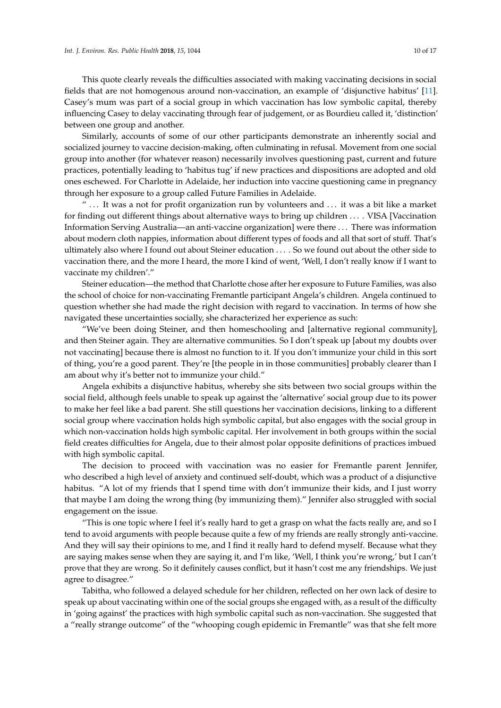This quote clearly reveals the difficulties associated with making vaccinating decisions in social fields that are not homogenous around non-vaccination, an example of 'disjunctive habitus' [\[11\]](#page-15-1). Casey's mum was part of a social group in which vaccination has low symbolic capital, thereby influencing Casey to delay vaccinating through fear of judgement, or as Bourdieu called it, 'distinction' between one group and another.

Similarly, accounts of some of our other participants demonstrate an inherently social and socialized journey to vaccine decision-making, often culminating in refusal. Movement from one social group into another (for whatever reason) necessarily involves questioning past, current and future practices, potentially leading to 'habitus tug' if new practices and dispositions are adopted and old ones eschewed. For Charlotte in Adelaide, her induction into vaccine questioning came in pregnancy through her exposure to a group called Future Families in Adelaide.

 $\degree$  ... It was a not for profit organization run by volunteers and  $\degree$ ... it was a bit like a market for finding out different things about alternative ways to bring up children . . . . VISA [Vaccination Information Serving Australia—an anti-vaccine organization] were there . . . There was information about modern cloth nappies, information about different types of foods and all that sort of stuff. That's ultimately also where I found out about Steiner education . . . . So we found out about the other side to vaccination there, and the more I heard, the more I kind of went, 'Well, I don't really know if I want to vaccinate my children'."

Steiner education—the method that Charlotte chose after her exposure to Future Families, was also the school of choice for non-vaccinating Fremantle participant Angela's children. Angela continued to question whether she had made the right decision with regard to vaccination. In terms of how she navigated these uncertainties socially, she characterized her experience as such:

"We've been doing Steiner, and then homeschooling and [alternative regional community], and then Steiner again. They are alternative communities. So I don't speak up [about my doubts over not vaccinating] because there is almost no function to it. If you don't immunize your child in this sort of thing, you're a good parent. They're [the people in in those communities] probably clearer than I am about why it's better not to immunize your child."

Angela exhibits a disjunctive habitus, whereby she sits between two social groups within the social field, although feels unable to speak up against the 'alternative' social group due to its power to make her feel like a bad parent. She still questions her vaccination decisions, linking to a different social group where vaccination holds high symbolic capital, but also engages with the social group in which non-vaccination holds high symbolic capital. Her involvement in both groups within the social field creates difficulties for Angela, due to their almost polar opposite definitions of practices imbued with high symbolic capital.

The decision to proceed with vaccination was no easier for Fremantle parent Jennifer, who described a high level of anxiety and continued self-doubt, which was a product of a disjunctive habitus. "A lot of my friends that I spend time with don't immunize their kids, and I just worry that maybe I am doing the wrong thing (by immunizing them)." Jennifer also struggled with social engagement on the issue.

"This is one topic where I feel it's really hard to get a grasp on what the facts really are, and so I tend to avoid arguments with people because quite a few of my friends are really strongly anti-vaccine. And they will say their opinions to me, and I find it really hard to defend myself. Because what they are saying makes sense when they are saying it, and I'm like, 'Well, I think you're wrong,' but I can't prove that they are wrong. So it definitely causes conflict, but it hasn't cost me any friendships. We just agree to disagree."

Tabitha, who followed a delayed schedule for her children, reflected on her own lack of desire to speak up about vaccinating within one of the social groups she engaged with, as a result of the difficulty in 'going against' the practices with high symbolic capital such as non-vaccination. She suggested that a "really strange outcome" of the "whooping cough epidemic in Fremantle" was that she felt more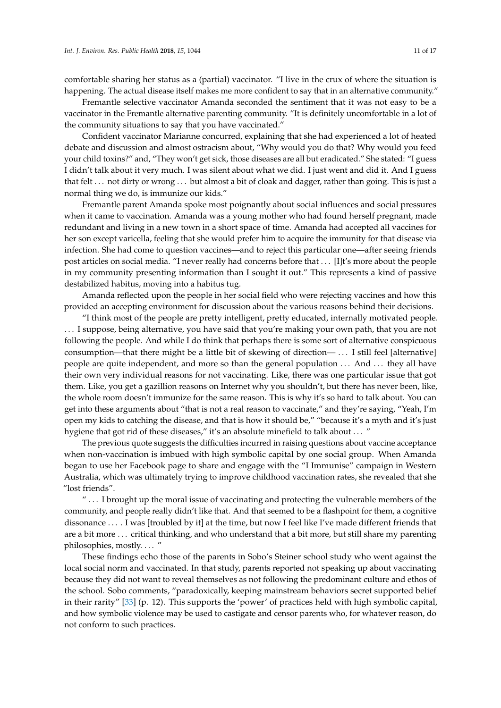comfortable sharing her status as a (partial) vaccinator. "I live in the crux of where the situation is happening. The actual disease itself makes me more confident to say that in an alternative community."

Fremantle selective vaccinator Amanda seconded the sentiment that it was not easy to be a vaccinator in the Fremantle alternative parenting community. "It is definitely uncomfortable in a lot of the community situations to say that you have vaccinated."

Confident vaccinator Marianne concurred, explaining that she had experienced a lot of heated debate and discussion and almost ostracism about, "Why would you do that? Why would you feed your child toxins?" and, "They won't get sick, those diseases are all but eradicated." She stated: "I guess I didn't talk about it very much. I was silent about what we did. I just went and did it. And I guess that felt . . . not dirty or wrong . . . but almost a bit of cloak and dagger, rather than going. This is just a normal thing we do, is immunize our kids."

Fremantle parent Amanda spoke most poignantly about social influences and social pressures when it came to vaccination. Amanda was a young mother who had found herself pregnant, made redundant and living in a new town in a short space of time. Amanda had accepted all vaccines for her son except varicella, feeling that she would prefer him to acquire the immunity for that disease via infection. She had come to question vaccines—and to reject this particular one—after seeing friends post articles on social media. "I never really had concerns before that . . . [I]t's more about the people in my community presenting information than I sought it out." This represents a kind of passive destabilized habitus, moving into a habitus tug.

Amanda reflected upon the people in her social field who were rejecting vaccines and how this provided an accepting environment for discussion about the various reasons behind their decisions.

"I think most of the people are pretty intelligent, pretty educated, internally motivated people. . . . I suppose, being alternative, you have said that you're making your own path, that you are not following the people. And while I do think that perhaps there is some sort of alternative conspicuous consumption—that there might be a little bit of skewing of direction— . . . I still feel [alternative] people are quite independent, and more so than the general population . . . And . . . they all have their own very individual reasons for not vaccinating. Like, there was one particular issue that got them. Like, you get a gazillion reasons on Internet why you shouldn't, but there has never been, like, the whole room doesn't immunize for the same reason. This is why it's so hard to talk about. You can get into these arguments about "that is not a real reason to vaccinate," and they're saying, "Yeah, I'm open my kids to catching the disease, and that is how it should be," "because it's a myth and it's just hygiene that got rid of these diseases," it's an absolute minefield to talk about . . . "

The previous quote suggests the difficulties incurred in raising questions about vaccine acceptance when non-vaccination is imbued with high symbolic capital by one social group. When Amanda began to use her Facebook page to share and engage with the "I Immunise" campaign in Western Australia, which was ultimately trying to improve childhood vaccination rates, she revealed that she "lost friends".

" . . . I brought up the moral issue of vaccinating and protecting the vulnerable members of the community, and people really didn't like that. And that seemed to be a flashpoint for them, a cognitive dissonance . . . . I was [troubled by it] at the time, but now I feel like I've made different friends that are a bit more . . . critical thinking, and who understand that a bit more, but still share my parenting philosophies, mostly. . . . "

These findings echo those of the parents in Sobo's Steiner school study who went against the local social norm and vaccinated. In that study, parents reported not speaking up about vaccinating because they did not want to reveal themselves as not following the predominant culture and ethos of the school. Sobo comments, "paradoxically, keeping mainstream behaviors secret supported belief in their rarity" [\[33\]](#page-15-21) (p. 12). This supports the 'power' of practices held with high symbolic capital, and how symbolic violence may be used to castigate and censor parents who, for whatever reason, do not conform to such practices.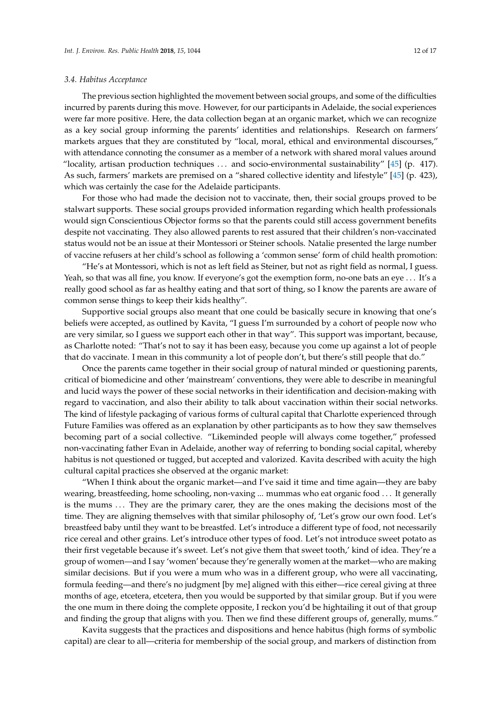#### *3.4. Habitus Acceptance*

The previous section highlighted the movement between social groups, and some of the difficulties incurred by parents during this move. However, for our participants in Adelaide, the social experiences were far more positive. Here, the data collection began at an organic market, which we can recognize as a key social group informing the parents' identities and relationships. Research on farmers' markets argues that they are constituted by "local, moral, ethical and environmental discourses," with attendance connoting the consumer as a member of a network with shared moral values around "locality, artisan production techniques . . . and socio-environmental sustainability" [\[45\]](#page-16-8) (p. 417). As such, farmers' markets are premised on a "shared collective identity and lifestyle" [\[45\]](#page-16-8) (p. 423), which was certainly the case for the Adelaide participants.

For those who had made the decision not to vaccinate, then, their social groups proved to be stalwart supports. These social groups provided information regarding which health professionals would sign Conscientious Objector forms so that the parents could still access government benefits despite not vaccinating. They also allowed parents to rest assured that their children's non-vaccinated status would not be an issue at their Montessori or Steiner schools. Natalie presented the large number of vaccine refusers at her child's school as following a 'common sense' form of child health promotion:

"He's at Montessori, which is not as left field as Steiner, but not as right field as normal, I guess. Yeah, so that was all fine, you know. If everyone's got the exemption form, no-one bats an eye . . . It's a really good school as far as healthy eating and that sort of thing, so I know the parents are aware of common sense things to keep their kids healthy".

Supportive social groups also meant that one could be basically secure in knowing that one's beliefs were accepted, as outlined by Kavita, "I guess I'm surrounded by a cohort of people now who are very similar, so I guess we support each other in that way". This support was important, because, as Charlotte noted: "That's not to say it has been easy, because you come up against a lot of people that do vaccinate. I mean in this community a lot of people don't, but there's still people that do."

Once the parents came together in their social group of natural minded or questioning parents, critical of biomedicine and other 'mainstream' conventions, they were able to describe in meaningful and lucid ways the power of these social networks in their identification and decision-making with regard to vaccination, and also their ability to talk about vaccination within their social networks. The kind of lifestyle packaging of various forms of cultural capital that Charlotte experienced through Future Families was offered as an explanation by other participants as to how they saw themselves becoming part of a social collective. "Likeminded people will always come together," professed non-vaccinating father Evan in Adelaide, another way of referring to bonding social capital, whereby habitus is not questioned or tugged, but accepted and valorized. Kavita described with acuity the high cultural capital practices she observed at the organic market:

"When I think about the organic market—and I've said it time and time again—they are baby wearing, breastfeeding, home schooling, non-vaxing ... mummas who eat organic food . . . It generally is the mums . . . They are the primary carer, they are the ones making the decisions most of the time. They are aligning themselves with that similar philosophy of, 'Let's grow our own food. Let's breastfeed baby until they want to be breastfed. Let's introduce a different type of food, not necessarily rice cereal and other grains. Let's introduce other types of food. Let's not introduce sweet potato as their first vegetable because it's sweet. Let's not give them that sweet tooth,' kind of idea. They're a group of women—and I say 'women' because they're generally women at the market—who are making similar decisions. But if you were a mum who was in a different group, who were all vaccinating, formula feeding—and there's no judgment [by me] aligned with this either—rice cereal giving at three months of age, etcetera, etcetera, then you would be supported by that similar group. But if you were the one mum in there doing the complete opposite, I reckon you'd be hightailing it out of that group and finding the group that aligns with you. Then we find these different groups of, generally, mums."

Kavita suggests that the practices and dispositions and hence habitus (high forms of symbolic capital) are clear to all—criteria for membership of the social group, and markers of distinction from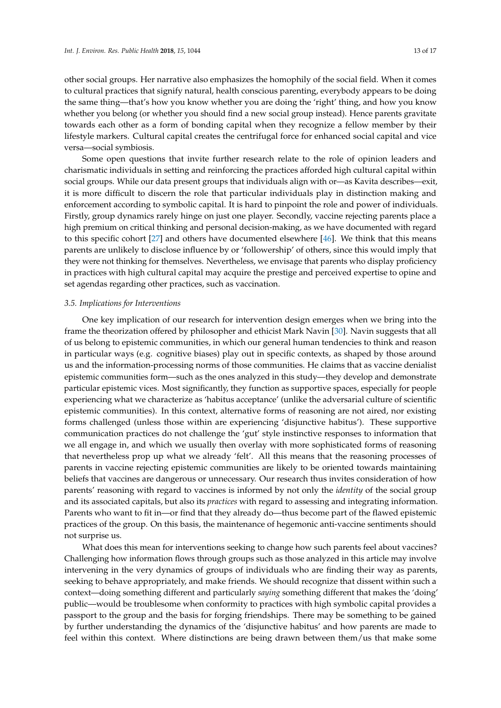other social groups. Her narrative also emphasizes the homophily of the social field. When it comes to cultural practices that signify natural, health conscious parenting, everybody appears to be doing the same thing—that's how you know whether you are doing the 'right' thing, and how you know whether you belong (or whether you should find a new social group instead). Hence parents gravitate towards each other as a form of bonding capital when they recognize a fellow member by their lifestyle markers. Cultural capital creates the centrifugal force for enhanced social capital and vice versa—social symbiosis.

Some open questions that invite further research relate to the role of opinion leaders and charismatic individuals in setting and reinforcing the practices afforded high cultural capital within social groups. While our data present groups that individuals align with or—as Kavita describes—exit, it is more difficult to discern the role that particular individuals play in distinction making and enforcement according to symbolic capital. It is hard to pinpoint the role and power of individuals. Firstly, group dynamics rarely hinge on just one player. Secondly, vaccine rejecting parents place a high premium on critical thinking and personal decision-making, as we have documented with regard to this specific cohort [\[27\]](#page-15-15) and others have documented elsewhere [\[46\]](#page-16-9). We think that this means parents are unlikely to disclose influence by or 'followership' of others, since this would imply that they were not thinking for themselves. Nevertheless, we envisage that parents who display proficiency in practices with high cultural capital may acquire the prestige and perceived expertise to opine and set agendas regarding other practices, such as vaccination.

#### *3.5. Implications for Interventions*

One key implication of our research for intervention design emerges when we bring into the frame the theorization offered by philosopher and ethicist Mark Navin [\[30\]](#page-15-18). Navin suggests that all of us belong to epistemic communities, in which our general human tendencies to think and reason in particular ways (e.g. cognitive biases) play out in specific contexts, as shaped by those around us and the information-processing norms of those communities. He claims that as vaccine denialist epistemic communities form—such as the ones analyzed in this study—they develop and demonstrate particular epistemic vices. Most significantly, they function as supportive spaces, especially for people experiencing what we characterize as 'habitus acceptance' (unlike the adversarial culture of scientific epistemic communities). In this context, alternative forms of reasoning are not aired, nor existing forms challenged (unless those within are experiencing 'disjunctive habitus'). These supportive communication practices do not challenge the 'gut' style instinctive responses to information that we all engage in, and which we usually then overlay with more sophisticated forms of reasoning that nevertheless prop up what we already 'felt'. All this means that the reasoning processes of parents in vaccine rejecting epistemic communities are likely to be oriented towards maintaining beliefs that vaccines are dangerous or unnecessary. Our research thus invites consideration of how parents' reasoning with regard to vaccines is informed by not only the *identity* of the social group and its associated capitals, but also its *practices* with regard to assessing and integrating information. Parents who want to fit in—or find that they already do—thus become part of the flawed epistemic practices of the group. On this basis, the maintenance of hegemonic anti-vaccine sentiments should not surprise us.

What does this mean for interventions seeking to change how such parents feel about vaccines? Challenging how information flows through groups such as those analyzed in this article may involve intervening in the very dynamics of groups of individuals who are finding their way as parents, seeking to behave appropriately, and make friends. We should recognize that dissent within such a context—doing something different and particularly *saying* something different that makes the 'doing' public—would be troublesome when conformity to practices with high symbolic capital provides a passport to the group and the basis for forging friendships. There may be something to be gained by further understanding the dynamics of the 'disjunctive habitus' and how parents are made to feel within this context. Where distinctions are being drawn between them/us that make some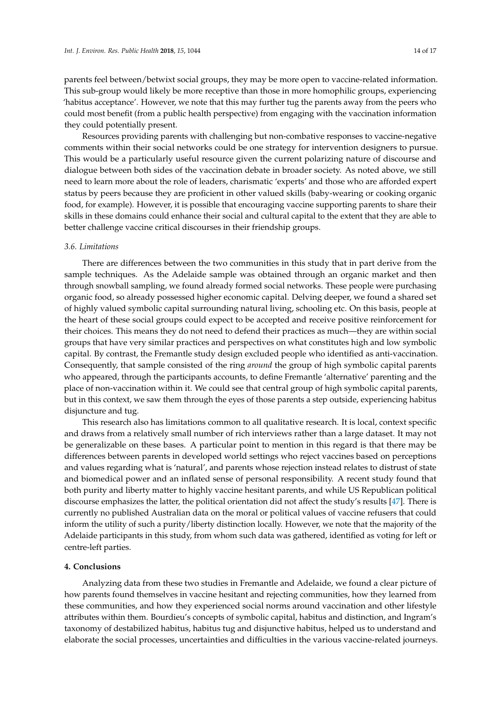parents feel between/betwixt social groups, they may be more open to vaccine-related information. This sub-group would likely be more receptive than those in more homophilic groups, experiencing 'habitus acceptance'. However, we note that this may further tug the parents away from the peers who could most benefit (from a public health perspective) from engaging with the vaccination information they could potentially present.

Resources providing parents with challenging but non-combative responses to vaccine-negative comments within their social networks could be one strategy for intervention designers to pursue. This would be a particularly useful resource given the current polarizing nature of discourse and dialogue between both sides of the vaccination debate in broader society. As noted above, we still need to learn more about the role of leaders, charismatic 'experts' and those who are afforded expert status by peers because they are proficient in other valued skills (baby-wearing or cooking organic food, for example). However, it is possible that encouraging vaccine supporting parents to share their skills in these domains could enhance their social and cultural capital to the extent that they are able to better challenge vaccine critical discourses in their friendship groups.

## *3.6. Limitations*

There are differences between the two communities in this study that in part derive from the sample techniques. As the Adelaide sample was obtained through an organic market and then through snowball sampling, we found already formed social networks. These people were purchasing organic food, so already possessed higher economic capital. Delving deeper, we found a shared set of highly valued symbolic capital surrounding natural living, schooling etc. On this basis, people at the heart of these social groups could expect to be accepted and receive positive reinforcement for their choices. This means they do not need to defend their practices as much—they are within social groups that have very similar practices and perspectives on what constitutes high and low symbolic capital. By contrast, the Fremantle study design excluded people who identified as anti-vaccination. Consequently, that sample consisted of the ring *around* the group of high symbolic capital parents who appeared, through the participants accounts, to define Fremantle 'alternative' parenting and the place of non-vaccination within it. We could see that central group of high symbolic capital parents, but in this context, we saw them through the eyes of those parents a step outside, experiencing habitus disjuncture and tug.

This research also has limitations common to all qualitative research. It is local, context specific and draws from a relatively small number of rich interviews rather than a large dataset. It may not be generalizable on these bases. A particular point to mention in this regard is that there may be differences between parents in developed world settings who reject vaccines based on perceptions and values regarding what is 'natural', and parents whose rejection instead relates to distrust of state and biomedical power and an inflated sense of personal responsibility. A recent study found that both purity and liberty matter to highly vaccine hesitant parents, and while US Republican political discourse emphasizes the latter, the political orientation did not affect the study's results [\[47\]](#page-16-10). There is currently no published Australian data on the moral or political values of vaccine refusers that could inform the utility of such a purity/liberty distinction locally. However, we note that the majority of the Adelaide participants in this study, from whom such data was gathered, identified as voting for left or centre-left parties.

#### **4. Conclusions**

Analyzing data from these two studies in Fremantle and Adelaide, we found a clear picture of how parents found themselves in vaccine hesitant and rejecting communities, how they learned from these communities, and how they experienced social norms around vaccination and other lifestyle attributes within them. Bourdieu's concepts of symbolic capital, habitus and distinction, and Ingram's taxonomy of destabilized habitus, habitus tug and disjunctive habitus, helped us to understand and elaborate the social processes, uncertainties and difficulties in the various vaccine-related journeys.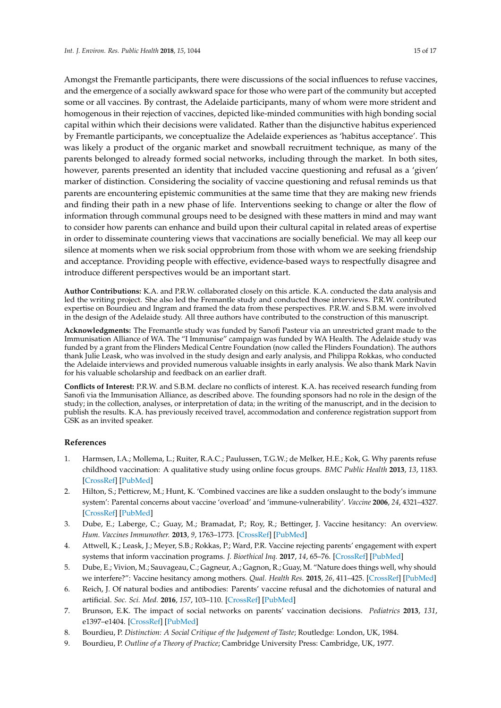Amongst the Fremantle participants, there were discussions of the social influences to refuse vaccines, and the emergence of a socially awkward space for those who were part of the community but accepted some or all vaccines. By contrast, the Adelaide participants, many of whom were more strident and homogenous in their rejection of vaccines, depicted like-minded communities with high bonding social capital within which their decisions were validated. Rather than the disjunctive habitus experienced by Fremantle participants, we conceptualize the Adelaide experiences as 'habitus acceptance'. This was likely a product of the organic market and snowball recruitment technique, as many of the parents belonged to already formed social networks, including through the market. In both sites, however, parents presented an identity that included vaccine questioning and refusal as a 'given' marker of distinction. Considering the sociality of vaccine questioning and refusal reminds us that parents are encountering epistemic communities at the same time that they are making new friends and finding their path in a new phase of life. Interventions seeking to change or alter the flow of information through communal groups need to be designed with these matters in mind and may want to consider how parents can enhance and build upon their cultural capital in related areas of expertise in order to disseminate countering views that vaccinations are socially beneficial. We may all keep our silence at moments when we risk social opprobrium from those with whom we are seeking friendship and acceptance. Providing people with effective, evidence-based ways to respectfully disagree and introduce different perspectives would be an important start.

**Author Contributions:** K.A. and P.R.W. collaborated closely on this article. K.A. conducted the data analysis and led the writing project. She also led the Fremantle study and conducted those interviews. P.R.W. contributed expertise on Bourdieu and Ingram and framed the data from these perspectives. P.R.W. and S.B.M. were involved in the design of the Adelaide study. All three authors have contributed to the construction of this manuscript.

**Acknowledgments:** The Fremantle study was funded by Sanofi Pasteur via an unrestricted grant made to the Immunisation Alliance of WA. The "I Immunise" campaign was funded by WA Health. The Adelaide study was funded by a grant from the Flinders Medical Centre Foundation (now called the Flinders Foundation). The authors thank Julie Leask, who was involved in the study design and early analysis, and Philippa Rokkas, who conducted the Adelaide interviews and provided numerous valuable insights in early analysis. We also thank Mark Navin for his valuable scholarship and feedback on an earlier draft.

**Conflicts of Interest:** P.R.W. and S.B.M. declare no conflicts of interest. K.A. has received research funding from Sanofi via the Immunisation Alliance, as described above. The founding sponsors had no role in the design of the study; in the collection, analyses, or interpretation of data; in the writing of the manuscript, and in the decision to publish the results. K.A. has previously received travel, accommodation and conference registration support from GSK as an invited speaker.

# **References**

- <span id="page-14-0"></span>1. Harmsen, I.A.; Mollema, L.; Ruiter, R.A.C.; Paulussen, T.G.W.; de Melker, H.E.; Kok, G. Why parents refuse childhood vaccination: A qualitative study using online focus groups. *BMC Public Health* **2013**, *13*, 1183. [\[CrossRef\]](http://dx.doi.org/10.1186/1471-2458-13-1183) [\[PubMed\]](http://www.ncbi.nlm.nih.gov/pubmed/24341406)
- 2. Hilton, S.; Petticrew, M.; Hunt, K. 'Combined vaccines are like a sudden onslaught to the body's immune system': Parental concerns about vaccine 'overload' and 'immune-vulnerability'. *Vaccine* **2006**, *24*, 4321–4327. [\[CrossRef\]](http://dx.doi.org/10.1016/j.vaccine.2006.03.003) [\[PubMed\]](http://www.ncbi.nlm.nih.gov/pubmed/16581162)
- <span id="page-14-1"></span>3. Dube, E.; Laberge, C.; Guay, M.; Bramadat, P.; Roy, R.; Bettinger, J. Vaccine hesitancy: An overview. *Hum. Vaccines Immunother.* **2013**, *9*, 1763–1773. [\[CrossRef\]](http://dx.doi.org/10.4161/hv.24657) [\[PubMed\]](http://www.ncbi.nlm.nih.gov/pubmed/23584253)
- <span id="page-14-2"></span>4. Attwell, K.; Leask, J.; Meyer, S.B.; Rokkas, P.; Ward, P.R. Vaccine rejecting parents' engagement with expert systems that inform vaccination programs. *J. Bioethical Inq.* **2017**, *14*, 65–76. [\[CrossRef\]](http://dx.doi.org/10.1007/s11673-016-9756-7) [\[PubMed\]](http://www.ncbi.nlm.nih.gov/pubmed/27909947)
- <span id="page-14-3"></span>5. Dube, E.; Vivion, M.; Sauvageau, C.; Gagneur, A.; Gagnon, R.; Guay, M. "Nature does things well, why should we interfere?": Vaccine hesitancy among mothers. *Qual. Health Res.* **2015**, *26*, 411–425. [\[CrossRef\]](http://dx.doi.org/10.1177/1049732315573207) [\[PubMed\]](http://www.ncbi.nlm.nih.gov/pubmed/25711847)
- <span id="page-14-4"></span>6. Reich, J. Of natural bodies and antibodies: Parents' vaccine refusal and the dichotomies of natural and artificial. *Soc. Sci. Med.* **2016**, *157*, 103–110. [\[CrossRef\]](http://dx.doi.org/10.1016/j.socscimed.2016.04.001) [\[PubMed\]](http://www.ncbi.nlm.nih.gov/pubmed/27082021)
- <span id="page-14-5"></span>7. Brunson, E.K. The impact of social networks on parents' vaccination decisions. *Pediatrics* **2013**, *131*, e1397–e1404. [\[CrossRef\]](http://dx.doi.org/10.1542/peds.2012-2452) [\[PubMed\]](http://www.ncbi.nlm.nih.gov/pubmed/23589813)
- <span id="page-14-6"></span>8. Bourdieu, P. *Distinction: A Social Critique of the Judgement of Taste*; Routledge: London, UK, 1984.
- <span id="page-14-7"></span>9. Bourdieu, P. *Outline of a Theory of Practice*; Cambridge University Press: Cambridge, UK, 1977.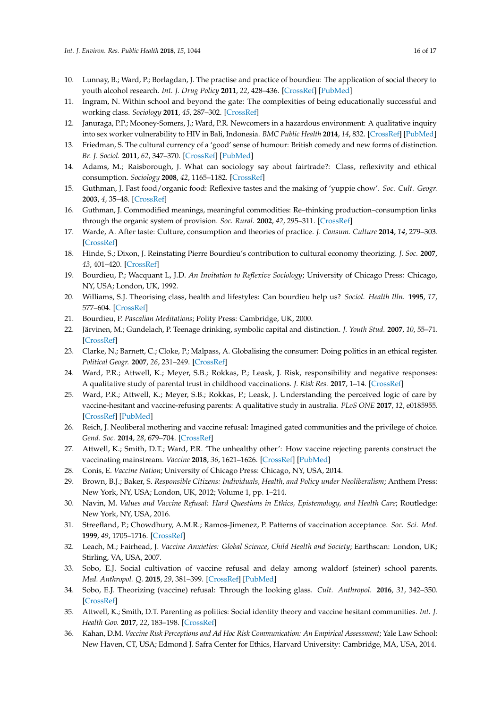- <span id="page-15-0"></span>10. Lunnay, B.; Ward, P.; Borlagdan, J. The practise and practice of bourdieu: The application of social theory to youth alcohol research. *Int. J. Drug Policy* **2011**, *22*, 428–436. [\[CrossRef\]](http://dx.doi.org/10.1016/j.drugpo.2011.07.013) [\[PubMed\]](http://www.ncbi.nlm.nih.gov/pubmed/21862305)
- <span id="page-15-1"></span>11. Ingram, N. Within school and beyond the gate: The complexities of being educationally successful and working class. *Sociology* **2011**, *45*, 287–302. [\[CrossRef\]](http://dx.doi.org/10.1177/0038038510394017)
- <span id="page-15-2"></span>12. Januraga, P.P.; Mooney-Somers, J.; Ward, P.R. Newcomers in a hazardous environment: A qualitative inquiry into sex worker vulnerability to HIV in Bali, Indonesia. *BMC Public Health* **2014**, *14*, 832. [\[CrossRef\]](http://dx.doi.org/10.1186/1471-2458-14-832) [\[PubMed\]](http://www.ncbi.nlm.nih.gov/pubmed/25113395)
- <span id="page-15-3"></span>13. Friedman, S. The cultural currency of a 'good' sense of humour: British comedy and new forms of distinction. *Br. J. Sociol.* **2011**, *62*, 347–370. [\[CrossRef\]](http://dx.doi.org/10.1111/j.1468-4446.2011.01368.x) [\[PubMed\]](http://www.ncbi.nlm.nih.gov/pubmed/21631462)
- <span id="page-15-4"></span>14. Adams, M.; Raisborough, J. What can sociology say about fairtrade?: Class, reflexivity and ethical consumption. *Sociology* **2008**, *42*, 1165–1182. [\[CrossRef\]](http://dx.doi.org/10.1177/0038038508096939)
- 15. Guthman, J. Fast food/organic food: Reflexive tastes and the making of 'yuppie chow'. *Soc. Cult. Geogr.* **2003**, *4*, 35–48. [\[CrossRef\]](http://dx.doi.org/10.1080/1464936032000049306)
- 16. Guthman, J. Commodified meanings, meaningful commodities: Re–thinking production–consumption links through the organic system of provision. *Soc. Rural.* **2002**, *42*, 295–311. [\[CrossRef\]](http://dx.doi.org/10.1111/1467-9523.00218)
- <span id="page-15-5"></span>17. Warde, A. After taste: Culture, consumption and theories of practice. *J. Consum. Culture* **2014**, *14*, 279–303. [\[CrossRef\]](http://dx.doi.org/10.1177/1469540514547828)
- <span id="page-15-6"></span>18. Hinde, S.; Dixon, J. Reinstating Pierre Bourdieu's contribution to cultural economy theorizing. *J. Soc.* **2007**, *43*, 401–420. [\[CrossRef\]](http://dx.doi.org/10.1177/1440783307083233)
- <span id="page-15-7"></span>19. Bourdieu, P.; Wacquant L, J.D. *An Invitation to Reflexive Sociology*; University of Chicago Press: Chicago, NY, USA; London, UK, 1992.
- <span id="page-15-8"></span>20. Williams, S.J. Theorising class, health and lifestyles: Can bourdieu help us? *Sociol. Health Illn.* **1995**, *17*, 577–604. [\[CrossRef\]](http://dx.doi.org/10.1111/1467-9566.ep10932093)
- <span id="page-15-9"></span>21. Bourdieu, P. *Pascalian Meditations*; Polity Press: Cambridge, UK, 2000.
- <span id="page-15-10"></span>22. Järvinen, M.; Gundelach, P. Teenage drinking, symbolic capital and distinction. *J. Youth Stud.* **2007**, *10*, 55–71. [\[CrossRef\]](http://dx.doi.org/10.1080/13676260701196137)
- <span id="page-15-11"></span>23. Clarke, N.; Barnett, C.; Cloke, P.; Malpass, A. Globalising the consumer: Doing politics in an ethical register. *Political Geogr.* **2007**, *26*, 231–249. [\[CrossRef\]](http://dx.doi.org/10.1016/j.polgeo.2006.10.009)
- <span id="page-15-12"></span>24. Ward, P.R.; Attwell, K.; Meyer, S.B.; Rokkas, P.; Leask, J. Risk, responsibility and negative responses: A qualitative study of parental trust in childhood vaccinations. *J. Risk Res.* **2017**, 1–14. [\[CrossRef\]](http://dx.doi.org/10.1080/13669877.2017.1391318)
- <span id="page-15-14"></span>25. Ward, P.R.; Attwell, K.; Meyer, S.B.; Rokkas, P.; Leask, J. Understanding the perceived logic of care by vaccine-hesitant and vaccine-refusing parents: A qualitative study in australia. *PLoS ONE* **2017**, *12*, e0185955. [\[CrossRef\]](http://dx.doi.org/10.1371/journal.pone.0185955) [\[PubMed\]](http://www.ncbi.nlm.nih.gov/pubmed/29023499)
- <span id="page-15-13"></span>26. Reich, J. Neoliberal mothering and vaccine refusal: Imagined gated communities and the privilege of choice. *Gend. Soc.* **2014**, *28*, 679–704. [\[CrossRef\]](http://dx.doi.org/10.1177/0891243214532711)
- <span id="page-15-15"></span>27. Attwell, K.; Smith, D.T.; Ward, P.R. 'The unhealthy other': How vaccine rejecting parents construct the vaccinating mainstream. *Vaccine* **2018**, *36*, 1621–1626. [\[CrossRef\]](http://dx.doi.org/10.1016/j.vaccine.2018.01.076) [\[PubMed\]](http://www.ncbi.nlm.nih.gov/pubmed/29449097)
- <span id="page-15-16"></span>28. Conis, E. *Vaccine Nation*; University of Chicago Press: Chicago, NY, USA, 2014.
- <span id="page-15-17"></span>29. Brown, B.J.; Baker, S. *Responsible Citizens: Individuals, Health, and Policy under Neoliberalism*; Anthem Press: New York, NY, USA; London, UK, 2012; Volume 1, pp. 1–214.
- <span id="page-15-18"></span>30. Navin, M. *Values and Vaccine Refusal: Hard Questions in Ethics, Epistemology, and Health Care*; Routledge: New York, NY, USA, 2016.
- <span id="page-15-19"></span>31. Streefland, P.; Chowdhury, A.M.R.; Ramos-Jimenez, P. Patterns of vaccination acceptance. *Soc. Sci. Med.* **1999**, *49*, 1705–1716. [\[CrossRef\]](http://dx.doi.org/10.1016/S0277-9536(99)00239-7)
- <span id="page-15-20"></span>32. Leach, M.; Fairhead, J. *Vaccine Anxieties: Global Science, Child Health and Society*; Earthscan: London, UK; Stirling, VA, USA, 2007.
- <span id="page-15-21"></span>33. Sobo, E.J. Social cultivation of vaccine refusal and delay among waldorf (steiner) school parents. *Med. Anthropol. Q.* **2015**, *29*, 381–399. [\[CrossRef\]](http://dx.doi.org/10.1111/maq.12214) [\[PubMed\]](http://www.ncbi.nlm.nih.gov/pubmed/25847214)
- <span id="page-15-22"></span>34. Sobo, E.J. Theorizing (vaccine) refusal: Through the looking glass. *Cult. Anthropol.* **2016**, *31*, 342–350. [\[CrossRef\]](http://dx.doi.org/10.14506/ca31.3.04)
- <span id="page-15-23"></span>35. Attwell, K.; Smith, D.T. Parenting as politics: Social identity theory and vaccine hesitant communities. *Int. J. Health Gov.* **2017**, *22*, 183–198. [\[CrossRef\]](http://dx.doi.org/10.1108/IJHG-03-2017-0008)
- <span id="page-15-24"></span>36. Kahan, D.M. *Vaccine Risk Perceptions and Ad Hoc Risk Communication: An Empirical Assessment*; Yale Law School: New Haven, CT, USA; Edmond J. Safra Center for Ethics, Harvard University: Cambridge, MA, USA, 2014.